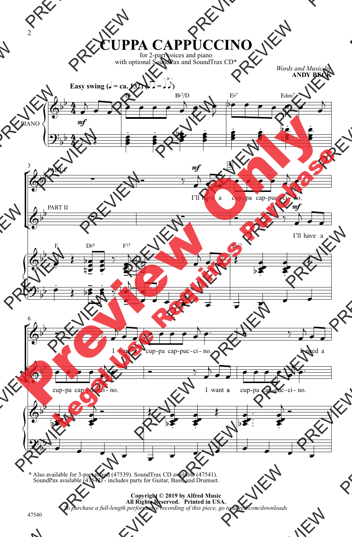

\* Also available for 3-part mixed (47539). SoundTrax CD available (47541). SoundPax available (47542) - includes parts for Guitar, Bass, and Drumset.

> **Copyright © 2019 by Alfred Music All Rights Reserved. Printed in USA.** *To purchase a full-length performance recording of this piece, go to alfred.com/downloads*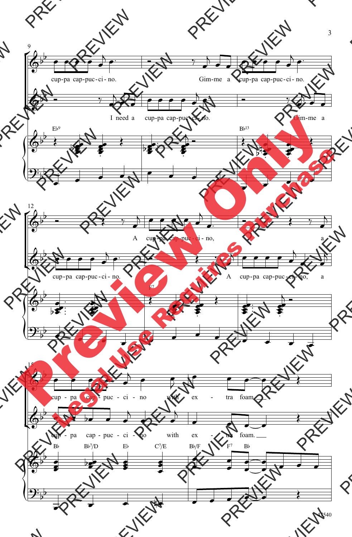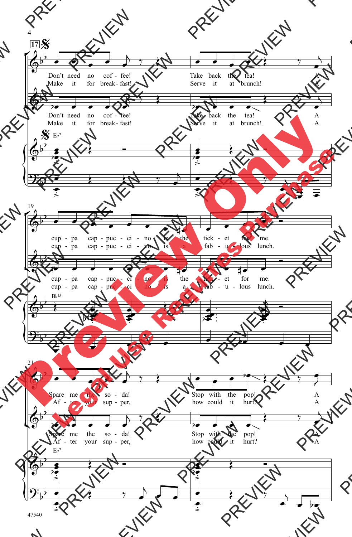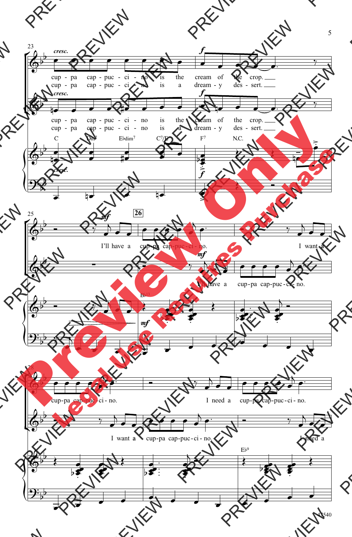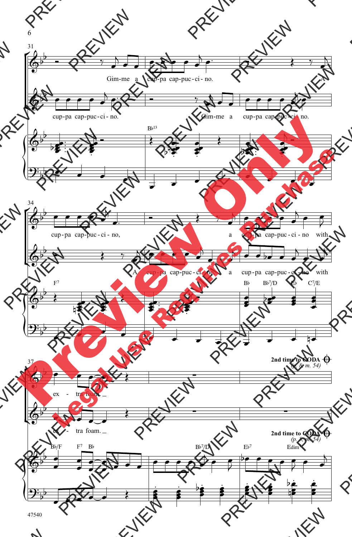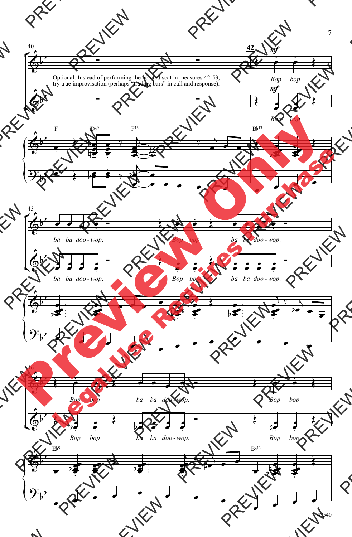